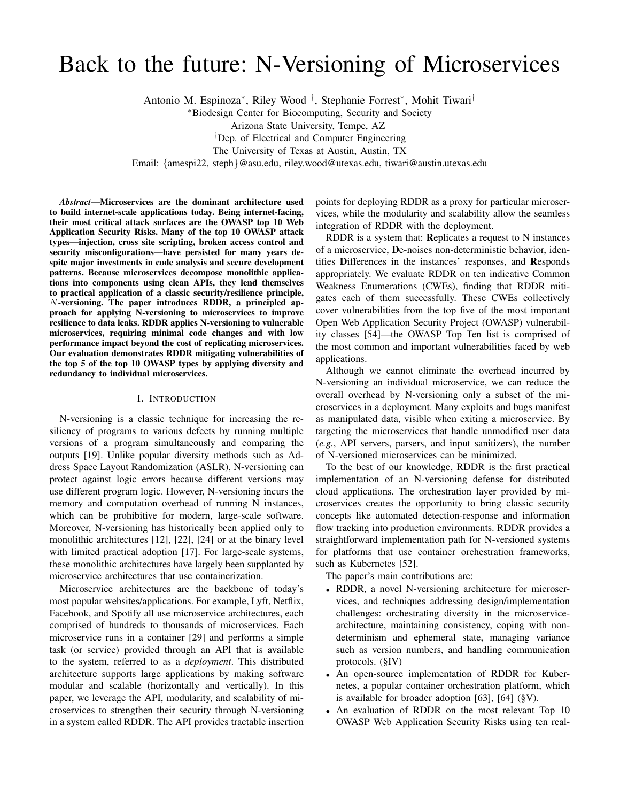# Back to the future: N-Versioning of Microservices

Antonio M. Espinoza<sup>∗</sup> , Riley Wood † , Stephanie Forrest<sup>∗</sup> , Mohit Tiwari†

<sup>∗</sup>Biodesign Center for Biocomputing, Security and Society

Arizona State University, Tempe, AZ

†Dep. of Electrical and Computer Engineering

The University of Texas at Austin, Austin, TX

Email: {amespi22, steph}@asu.edu, riley.wood@utexas.edu, tiwari@austin.utexas.edu

*Abstract*—Microservices are the dominant architecture used to build internet-scale applications today. Being internet-facing, their most critical attack surfaces are the OWASP top 10 Web Application Security Risks. Many of the top 10 OWASP attack types—injection, cross site scripting, broken access control and security misconfigurations—have persisted for many years despite major investments in code analysis and secure development patterns. Because microservices decompose monolithic applications into components using clean APIs, they lend themselves to practical application of a classic security/resilience principle, N-versioning. The paper introduces RDDR, a principled approach for applying N-versioning to microservices to improve resilience to data leaks. RDDR applies N-versioning to vulnerable microservices, requiring minimal code changes and with low performance impact beyond the cost of replicating microservices. Our evaluation demonstrates RDDR mitigating vulnerabilities of the top 5 of the top 10 OWASP types by applying diversity and redundancy to individual microservices.

#### I. INTRODUCTION

N-versioning is a classic technique for increasing the resiliency of programs to various defects by running multiple versions of a program simultaneously and comparing the outputs [19]. Unlike popular diversity methods such as Address Space Layout Randomization (ASLR), N-versioning can protect against logic errors because different versions may use different program logic. However, N-versioning incurs the memory and computation overhead of running N instances, which can be prohibitive for modern, large-scale software. Moreover, N-versioning has historically been applied only to monolithic architectures [12], [22], [24] or at the binary level with limited practical adoption [17]. For large-scale systems, these monolithic architectures have largely been supplanted by microservice architectures that use containerization.

Microservice architectures are the backbone of today's most popular websites/applications. For example, Lyft, Netflix, Facebook, and Spotify all use microservice architectures, each comprised of hundreds to thousands of microservices. Each microservice runs in a container [29] and performs a simple task (or service) provided through an API that is available to the system, referred to as a *deployment*. This distributed architecture supports large applications by making software modular and scalable (horizontally and vertically). In this paper, we leverage the API, modularity, and scalability of microservices to strengthen their security through N-versioning in a system called RDDR. The API provides tractable insertion points for deploying RDDR as a proxy for particular microservices, while the modularity and scalability allow the seamless integration of RDDR with the deployment.

RDDR is a system that: Replicates a request to N instances of a microservice, De-noises non-deterministic behavior, identifies Differences in the instances' responses, and Responds appropriately. We evaluate RDDR on ten indicative Common Weakness Enumerations (CWEs), finding that RDDR mitigates each of them successfully. These CWEs collectively cover vulnerabilities from the top five of the most important Open Web Application Security Project (OWASP) vulnerability classes [54]—the OWASP Top Ten list is comprised of the most common and important vulnerabilities faced by web applications.

Although we cannot eliminate the overhead incurred by N-versioning an individual microservice, we can reduce the overall overhead by N-versioning only a subset of the microservices in a deployment. Many exploits and bugs manifest as manipulated data, visible when exiting a microservice. By targeting the microservices that handle unmodified user data (*e.g.*, API servers, parsers, and input sanitizers), the number of N-versioned microservices can be minimized.

To the best of our knowledge, RDDR is the first practical implementation of an N-versioning defense for distributed cloud applications. The orchestration layer provided by microservices creates the opportunity to bring classic security concepts like automated detection-response and information flow tracking into production environments. RDDR provides a straightforward implementation path for N-versioned systems for platforms that use container orchestration frameworks, such as Kubernetes [52].

The paper's main contributions are:

- RDDR, a novel N-versioning architecture for microservices, and techniques addressing design/implementation challenges: orchestrating diversity in the microservicearchitecture, maintaining consistency, coping with nondeterminism and ephemeral state, managing variance such as version numbers, and handling communication protocols. (§IV)
- An open-source implementation of RDDR for Kubernetes, a popular container orchestration platform, which is available for broader adoption [63], [64] (§V).
- An evaluation of RDDR on the most relevant Top 10 OWASP Web Application Security Risks using ten real-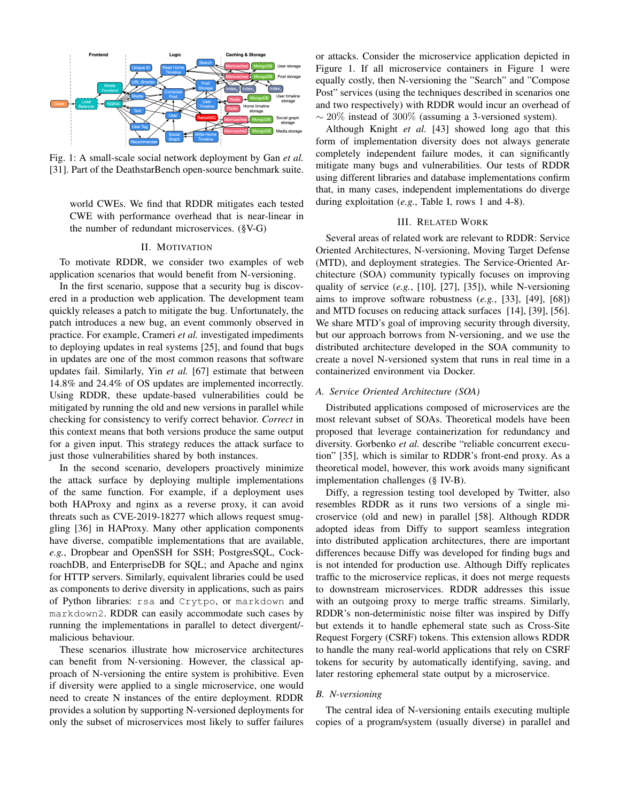

Fig. 1: A small-scale social network deployment by Gan *et al.* [31]. Part of the DeathstarBench open-source benchmark suite.

world CWEs. We find that RDDR mitigates each tested CWE with performance overhead that is near-linear in the number of redundant microservices. (§V-G)

#### II. MOTIVATION

To motivate RDDR, we consider two examples of web application scenarios that would benefit from N-versioning.

In the first scenario, suppose that a security bug is discovered in a production web application. The development team quickly releases a patch to mitigate the bug. Unfortunately, the patch introduces a new bug, an event commonly observed in practice. For example, Crameri *et al.* investigated impediments to deploying updates in real systems [25], and found that bugs in updates are one of the most common reasons that software updates fail. Similarly, Yin *et al.* [67] estimate that between 14.8% and 24.4% of OS updates are implemented incorrectly. Using RDDR, these update-based vulnerabilities could be mitigated by running the old and new versions in parallel while checking for consistency to verify correct behavior. *Correct* in this context means that both versions produce the same output for a given input. This strategy reduces the attack surface to just those vulnerabilities shared by both instances.

In the second scenario, developers proactively minimize the attack surface by deploying multiple implementations of the same function. For example, if a deployment uses both HAProxy and nginx as a reverse proxy, it can avoid threats such as CVE-2019-18277 which allows request smuggling [36] in HAProxy. Many other application components have diverse, compatible implementations that are available, *e.g.*, Dropbear and OpenSSH for SSH; PostgresSQL, CockroachDB, and EnterpriseDB for SQL; and Apache and nginx for HTTP servers. Similarly, equivalent libraries could be used as components to derive diversity in applications, such as pairs of Python libraries: rsa and Crytpo, or markdown and markdown2. RDDR can easily accommodate such cases by running the implementations in parallel to detect divergent/ malicious behaviour.

These scenarios illustrate how microservice architectures can benefit from N-versioning. However, the classical approach of N-versioning the entire system is prohibitive. Even if diversity were applied to a single microservice, one would need to create N instances of the entire deployment. RDDR provides a solution by supporting N-versioned deployments for only the subset of microservices most likely to suffer failures or attacks. Consider the microservice application depicted in Figure 1. If all microservice containers in Figure 1 were equally costly, then N-versioning the "Search" and "Compose Post" services (using the techniques described in scenarios one and two respectively) with RDDR would incur an overhead of  $\sim$  20% instead of 300% (assuming a 3-versioned system).

Although Knight *et al.* [43] showed long ago that this form of implementation diversity does not always generate completely independent failure modes, it can significantly mitigate many bugs and vulnerabilities. Our tests of RDDR using different libraries and database implementations confirm that, in many cases, independent implementations do diverge during exploitation (*e.g.*, Table I, rows 1 and 4-8).

# III. RELATED WORK

Several areas of related work are relevant to RDDR: Service Oriented Architectures, N-versioning, Moving Target Defense (MTD), and deployment strategies. The Service-Oriented Architecture (SOA) community typically focuses on improving quality of service (*e.g.*, [10], [27], [35]), while N-versioning aims to improve software robustness (*e.g.*, [33], [49], [68]) and MTD focuses on reducing attack surfaces [14], [39], [56]. We share MTD's goal of improving security through diversity, but our approach borrows from N-versioning, and we use the distributed architecture developed in the SOA community to create a novel N-versioned system that runs in real time in a containerized environment via Docker.

#### *A. Service Oriented Architecture (SOA)*

Distributed applications composed of microservices are the most relevant subset of SOAs. Theoretical models have been proposed that leverage containerization for redundancy and diversity. Gorbenko *et al.* describe "reliable concurrent execution" [35], which is similar to RDDR's front-end proxy. As a theoretical model, however, this work avoids many significant implementation challenges (§ IV-B).

Diffy, a regression testing tool developed by Twitter, also resembles RDDR as it runs two versions of a single microservice (old and new) in parallel [58]. Although RDDR adopted ideas from Diffy to support seamless integration into distributed application architectures, there are important differences because Diffy was developed for finding bugs and is not intended for production use. Although Diffy replicates traffic to the microservice replicas, it does not merge requests to downstream microservices. RDDR addresses this issue with an outgoing proxy to merge traffic streams. Similarly, RDDR's non-deterministic noise filter was inspired by Diffy but extends it to handle ephemeral state such as Cross-Site Request Forgery (CSRF) tokens. This extension allows RDDR to handle the many real-world applications that rely on CSRF tokens for security by automatically identifying, saving, and later restoring ephemeral state output by a microservice.

#### *B. N-versioning*

The central idea of N-versioning entails executing multiple copies of a program/system (usually diverse) in parallel and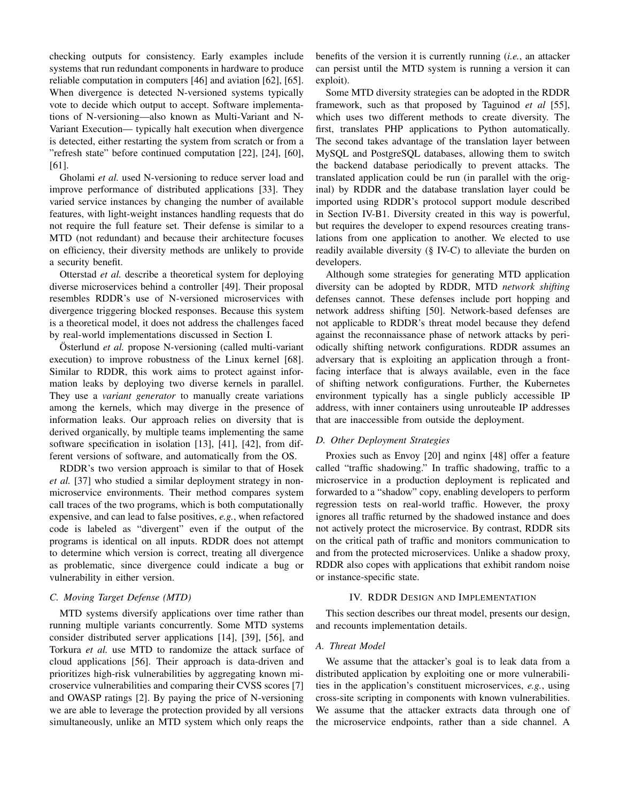checking outputs for consistency. Early examples include systems that run redundant components in hardware to produce reliable computation in computers [46] and aviation [62], [65]. When divergence is detected N-versioned systems typically vote to decide which output to accept. Software implementations of N-versioning—also known as Multi-Variant and N-Variant Execution— typically halt execution when divergence is detected, either restarting the system from scratch or from a "refresh state" before continued computation [22], [24], [60], [61].

Gholami *et al.* used N-versioning to reduce server load and improve performance of distributed applications [33]. They varied service instances by changing the number of available features, with light-weight instances handling requests that do not require the full feature set. Their defense is similar to a MTD (not redundant) and because their architecture focuses on efficiency, their diversity methods are unlikely to provide a security benefit.

Otterstad *et al.* describe a theoretical system for deploying diverse microservices behind a controller [49]. Their proposal resembles RDDR's use of N-versioned microservices with divergence triggering blocked responses. Because this system is a theoretical model, it does not address the challenges faced by real-world implementations discussed in Section I.

Österlund *et al.* propose N-versioning (called multi-variant execution) to improve robustness of the Linux kernel [68]. Similar to RDDR, this work aims to protect against information leaks by deploying two diverse kernels in parallel. They use a *variant generator* to manually create variations among the kernels, which may diverge in the presence of information leaks. Our approach relies on diversity that is derived organically, by multiple teams implementing the same software specification in isolation [13], [41], [42], from different versions of software, and automatically from the OS.

RDDR's two version approach is similar to that of Hosek *et al.* [37] who studied a similar deployment strategy in nonmicroservice environments. Their method compares system call traces of the two programs, which is both computationally expensive, and can lead to false positives, *e.g.*, when refactored code is labeled as "divergent" even if the output of the programs is identical on all inputs. RDDR does not attempt to determine which version is correct, treating all divergence as problematic, since divergence could indicate a bug or vulnerability in either version.

# *C. Moving Target Defense (MTD)*

MTD systems diversify applications over time rather than running multiple variants concurrently. Some MTD systems consider distributed server applications [14], [39], [56], and Torkura *et al.* use MTD to randomize the attack surface of cloud applications [56]. Their approach is data-driven and prioritizes high-risk vulnerabilities by aggregating known microservice vulnerabilities and comparing their CVSS scores [7] and OWASP ratings [2]. By paying the price of N-versioning we are able to leverage the protection provided by all versions simultaneously, unlike an MTD system which only reaps the benefits of the version it is currently running (*i.e.*, an attacker can persist until the MTD system is running a version it can exploit).

Some MTD diversity strategies can be adopted in the RDDR framework, such as that proposed by Taguinod *et al* [55], which uses two different methods to create diversity. The first, translates PHP applications to Python automatically. The second takes advantage of the translation layer between MySQL and PostgreSQL databases, allowing them to switch the backend database periodically to prevent attacks. The translated application could be run (in parallel with the original) by RDDR and the database translation layer could be imported using RDDR's protocol support module described in Section IV-B1. Diversity created in this way is powerful, but requires the developer to expend resources creating translations from one application to another. We elected to use readily available diversity (§ IV-C) to alleviate the burden on developers.

Although some strategies for generating MTD application diversity can be adopted by RDDR, MTD *network shifting* defenses cannot. These defenses include port hopping and network address shifting [50]. Network-based defenses are not applicable to RDDR's threat model because they defend against the reconnaissance phase of network attacks by periodically shifting network configurations. RDDR assumes an adversary that is exploiting an application through a frontfacing interface that is always available, even in the face of shifting network configurations. Further, the Kubernetes environment typically has a single publicly accessible IP address, with inner containers using unrouteable IP addresses that are inaccessible from outside the deployment.

## *D. Other Deployment Strategies*

Proxies such as Envoy [20] and nginx [48] offer a feature called "traffic shadowing." In traffic shadowing, traffic to a microservice in a production deployment is replicated and forwarded to a "shadow" copy, enabling developers to perform regression tests on real-world traffic. However, the proxy ignores all traffic returned by the shadowed instance and does not actively protect the microservice. By contrast, RDDR sits on the critical path of traffic and monitors communication to and from the protected microservices. Unlike a shadow proxy, RDDR also copes with applications that exhibit random noise or instance-specific state.

## IV. RDDR DESIGN AND IMPLEMENTATION

This section describes our threat model, presents our design, and recounts implementation details.

# *A. Threat Model*

We assume that the attacker's goal is to leak data from a distributed application by exploiting one or more vulnerabilities in the application's constituent microservices, *e.g.*, using cross-site scripting in components with known vulnerabilities. We assume that the attacker extracts data through one of the microservice endpoints, rather than a side channel. A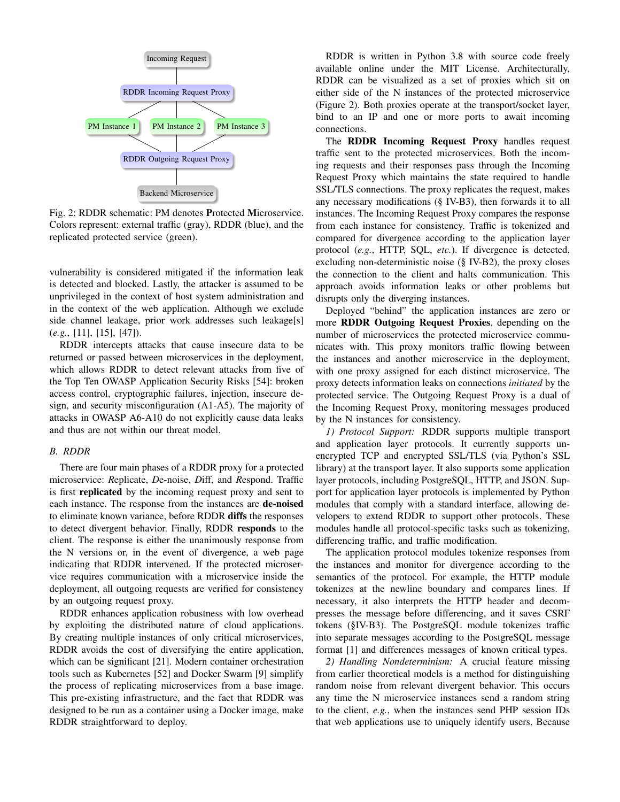

Fig. 2: RDDR schematic: PM denotes Protected Microservice. Colors represent: external traffic (gray), RDDR (blue), and the replicated protected service (green).

vulnerability is considered mitigated if the information leak is detected and blocked. Lastly, the attacker is assumed to be unprivileged in the context of host system administration and in the context of the web application. Although we exclude side channel leakage, prior work addresses such leakage[s] (*e.g.*, [11], [15], [47]).

RDDR intercepts attacks that cause insecure data to be returned or passed between microservices in the deployment, which allows RDDR to detect relevant attacks from five of the Top Ten OWASP Application Security Risks [54]: broken access control, cryptographic failures, injection, insecure design, and security misconfiguration (A1-A5). The majority of attacks in OWASP A6-A10 do not explicitly cause data leaks and thus are not within our threat model.

#### *B. RDDR*

There are four main phases of a RDDR proxy for a protected microservice: *R*eplicate, *D*e-noise, *D*iff, and *R*espond. Traffic is first replicated by the incoming request proxy and sent to each instance. The response from the instances are **de-noised** to eliminate known variance, before RDDR diffs the responses to detect divergent behavior. Finally, RDDR responds to the client. The response is either the unanimously response from the N versions or, in the event of divergence, a web page indicating that RDDR intervened. If the protected microservice requires communication with a microservice inside the deployment, all outgoing requests are verified for consistency by an outgoing request proxy.

RDDR enhances application robustness with low overhead by exploiting the distributed nature of cloud applications. By creating multiple instances of only critical microservices, RDDR avoids the cost of diversifying the entire application, which can be significant [21]. Modern container orchestration tools such as Kubernetes [52] and Docker Swarm [9] simplify the process of replicating microservices from a base image. This pre-existing infrastructure, and the fact that RDDR was designed to be run as a container using a Docker image, make RDDR straightforward to deploy.

RDDR is written in Python 3.8 with source code freely available online under the MIT License. Architecturally, RDDR can be visualized as a set of proxies which sit on either side of the N instances of the protected microservice (Figure 2). Both proxies operate at the transport/socket layer, bind to an IP and one or more ports to await incoming connections.

The RDDR Incoming Request Proxy handles request traffic sent to the protected microservices. Both the incoming requests and their responses pass through the Incoming Request Proxy which maintains the state required to handle SSL/TLS connections. The proxy replicates the request, makes any necessary modifications (§ IV-B3), then forwards it to all instances. The Incoming Request Proxy compares the response from each instance for consistency. Traffic is tokenized and compared for divergence according to the application layer protocol (*e.g.*, HTTP, SQL, *etc.*). If divergence is detected, excluding non-deterministic noise (§ IV-B2), the proxy closes the connection to the client and halts communication. This approach avoids information leaks or other problems but disrupts only the diverging instances.

Deployed "behind" the application instances are zero or more RDDR Outgoing Request Proxies, depending on the number of microservices the protected microservice communicates with. This proxy monitors traffic flowing between the instances and another microservice in the deployment, with one proxy assigned for each distinct microservice. The proxy detects information leaks on connections *initiated* by the protected service. The Outgoing Request Proxy is a dual of the Incoming Request Proxy, monitoring messages produced by the N instances for consistency.

*1) Protocol Support:* RDDR supports multiple transport and application layer protocols. It currently supports unencrypted TCP and encrypted SSL/TLS (via Python's SSL library) at the transport layer. It also supports some application layer protocols, including PostgreSQL, HTTP, and JSON. Support for application layer protocols is implemented by Python modules that comply with a standard interface, allowing developers to extend RDDR to support other protocols. These modules handle all protocol-specific tasks such as tokenizing, differencing traffic, and traffic modification.

The application protocol modules tokenize responses from the instances and monitor for divergence according to the semantics of the protocol. For example, the HTTP module tokenizes at the newline boundary and compares lines. If necessary, it also interprets the HTTP header and decompresses the message before differencing, and it saves CSRF tokens (§IV-B3). The PostgreSQL module tokenizes traffic into separate messages according to the PostgreSQL message format [1] and differences messages of known critical types.

*2) Handling Nondeterminism:* A crucial feature missing from earlier theoretical models is a method for distinguishing random noise from relevant divergent behavior. This occurs any time the N microservice instances send a random string to the client, *e.g.*, when the instances send PHP session IDs that web applications use to uniquely identify users. Because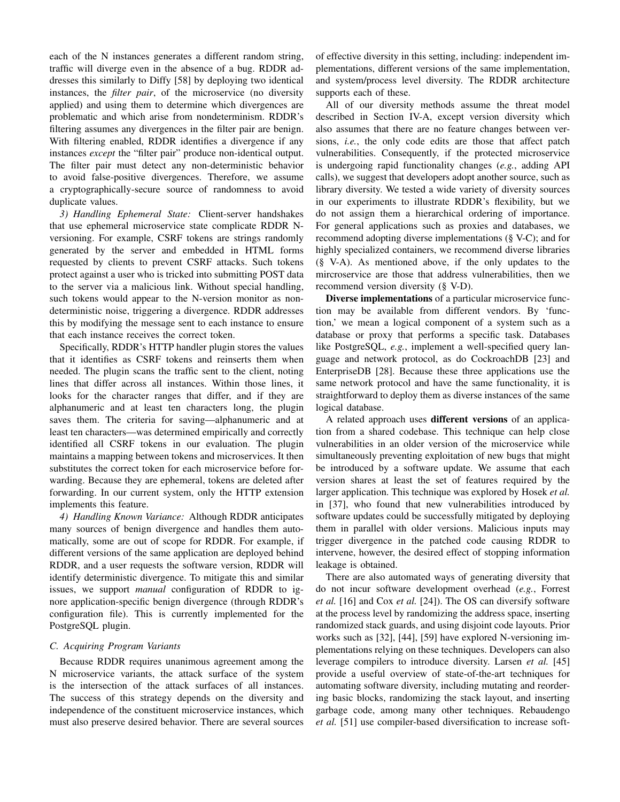each of the N instances generates a different random string, traffic will diverge even in the absence of a bug. RDDR addresses this similarly to Diffy [58] by deploying two identical instances, the *filter pair*, of the microservice (no diversity applied) and using them to determine which divergences are problematic and which arise from nondeterminism. RDDR's filtering assumes any divergences in the filter pair are benign. With filtering enabled, RDDR identifies a divergence if any instances *except* the "filter pair" produce non-identical output. The filter pair must detect any non-deterministic behavior to avoid false-positive divergences. Therefore, we assume a cryptographically-secure source of randomness to avoid duplicate values.

*3) Handling Ephemeral State:* Client-server handshakes that use ephemeral microservice state complicate RDDR Nversioning. For example, CSRF tokens are strings randomly generated by the server and embedded in HTML forms requested by clients to prevent CSRF attacks. Such tokens protect against a user who is tricked into submitting POST data to the server via a malicious link. Without special handling, such tokens would appear to the N-version monitor as nondeterministic noise, triggering a divergence. RDDR addresses this by modifying the message sent to each instance to ensure that each instance receives the correct token.

Specifically, RDDR's HTTP handler plugin stores the values that it identifies as CSRF tokens and reinserts them when needed. The plugin scans the traffic sent to the client, noting lines that differ across all instances. Within those lines, it looks for the character ranges that differ, and if they are alphanumeric and at least ten characters long, the plugin saves them. The criteria for saving—alphanumeric and at least ten characters—was determined empirically and correctly identified all CSRF tokens in our evaluation. The plugin maintains a mapping between tokens and microservices. It then substitutes the correct token for each microservice before forwarding. Because they are ephemeral, tokens are deleted after forwarding. In our current system, only the HTTP extension implements this feature.

*4) Handling Known Variance:* Although RDDR anticipates many sources of benign divergence and handles them automatically, some are out of scope for RDDR. For example, if different versions of the same application are deployed behind RDDR, and a user requests the software version, RDDR will identify deterministic divergence. To mitigate this and similar issues, we support *manual* configuration of RDDR to ignore application-specific benign divergence (through RDDR's configuration file). This is currently implemented for the PostgreSQL plugin.

## *C. Acquiring Program Variants*

Because RDDR requires unanimous agreement among the N microservice variants, the attack surface of the system is the intersection of the attack surfaces of all instances. The success of this strategy depends on the diversity and independence of the constituent microservice instances, which must also preserve desired behavior. There are several sources of effective diversity in this setting, including: independent implementations, different versions of the same implementation, and system/process level diversity. The RDDR architecture supports each of these.

All of our diversity methods assume the threat model described in Section IV-A, except version diversity which also assumes that there are no feature changes between versions, *i.e.*, the only code edits are those that affect patch vulnerabilities. Consequently, if the protected microservice is undergoing rapid functionality changes (*e.g.*, adding API calls), we suggest that developers adopt another source, such as library diversity. We tested a wide variety of diversity sources in our experiments to illustrate RDDR's flexibility, but we do not assign them a hierarchical ordering of importance. For general applications such as proxies and databases, we recommend adopting diverse implementations (§ V-C); and for highly specialized containers, we recommend diverse libraries (§ V-A). As mentioned above, if the only updates to the mircroservice are those that address vulnerabilities, then we recommend version diversity (§ V-D).

Diverse implementations of a particular microservice function may be available from different vendors. By 'function,' we mean a logical component of a system such as a database or proxy that performs a specific task. Databases like PostgreSQL, *e.g.*, implement a well-specified query language and network protocol, as do CockroachDB [23] and EnterpriseDB [28]. Because these three applications use the same network protocol and have the same functionality, it is straightforward to deploy them as diverse instances of the same logical database.

A related approach uses different versions of an application from a shared codebase. This technique can help close vulnerabilities in an older version of the microservice while simultaneously preventing exploitation of new bugs that might be introduced by a software update. We assume that each version shares at least the set of features required by the larger application. This technique was explored by Hosek *et al.* in [37], who found that new vulnerabilities introduced by software updates could be successfully mitigated by deploying them in parallel with older versions. Malicious inputs may trigger divergence in the patched code causing RDDR to intervene, however, the desired effect of stopping information leakage is obtained.

There are also automated ways of generating diversity that do not incur software development overhead (*e.g.*, Forrest *et al.* [16] and Cox *et al.* [24]). The OS can diversify software at the process level by randomizing the address space, inserting randomized stack guards, and using disjoint code layouts. Prior works such as [32], [44], [59] have explored N-versioning implementations relying on these techniques. Developers can also leverage compilers to introduce diversity. Larsen *et al.* [45] provide a useful overview of state-of-the-art techniques for automating software diversity, including mutating and reordering basic blocks, randomizing the stack layout, and inserting garbage code, among many other techniques. Rebaudengo *et al.* [51] use compiler-based diversification to increase soft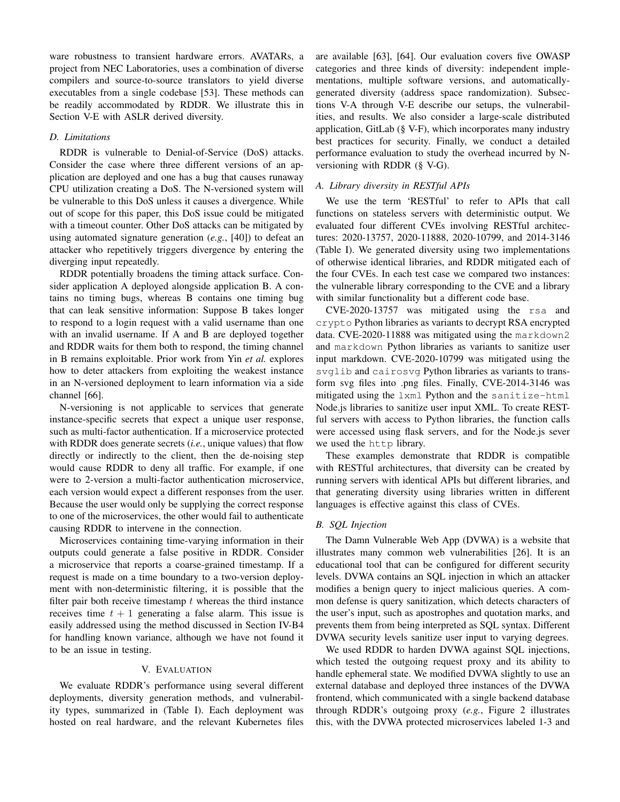ware robustness to transient hardware errors. AVATARs, a project from NEC Laboratories, uses a combination of diverse compilers and source-to-source translators to yield diverse executables from a single codebase [53]. These methods can be readily accommodated by RDDR. We illustrate this in Section V-E with ASLR derived diversity.

# *D. Limitations*

RDDR is vulnerable to Denial-of-Service (DoS) attacks. Consider the case where three different versions of an application are deployed and one has a bug that causes runaway CPU utilization creating a DoS. The N-versioned system will be vulnerable to this DoS unless it causes a divergence. While out of scope for this paper, this DoS issue could be mitigated with a timeout counter. Other DoS attacks can be mitigated by using automated signature generation (*e.g.*, [40]) to defeat an attacker who repetitively triggers divergence by entering the diverging input repeatedly.

RDDR potentially broadens the timing attack surface. Consider application A deployed alongside application B. A contains no timing bugs, whereas B contains one timing bug that can leak sensitive information: Suppose B takes longer to respond to a login request with a valid username than one with an invalid username. If A and B are deployed together and RDDR waits for them both to respond, the timing channel in B remains exploitable. Prior work from Yin *et al.* explores how to deter attackers from exploiting the weakest instance in an N-versioned deployment to learn information via a side channel [66].

N-versioning is not applicable to services that generate instance-specific secrets that expect a unique user response, such as multi-factor authentication. If a microservice protected with RDDR does generate secrets (*i.e.*, unique values) that flow directly or indirectly to the client, then the de-noising step would cause RDDR to deny all traffic. For example, if one were to 2-version a multi-factor authentication microservice, each version would expect a different responses from the user. Because the user would only be supplying the correct response to one of the microservices, the other would fail to authenticate causing RDDR to intervene in the connection.

Microservices containing time-varying information in their outputs could generate a false positive in RDDR. Consider a microservice that reports a coarse-grained timestamp. If a request is made on a time boundary to a two-version deployment with non-deterministic filtering, it is possible that the filter pair both receive timestamp  $t$  whereas the third instance receives time  $t + 1$  generating a false alarm. This issue is easily addressed using the method discussed in Section IV-B4 for handling known variance, although we have not found it to be an issue in testing.

# V. EVALUATION

We evaluate RDDR's performance using several different deployments, diversity generation methods, and vulnerability types, summarized in (Table I). Each deployment was hosted on real hardware, and the relevant Kubernetes files are available [63], [64]. Our evaluation covers five OWASP categories and three kinds of diversity: independent implementations, multiple software versions, and automaticallygenerated diversity (address space randomization). Subsections V-A through V-E describe our setups, the vulnerabilities, and results. We also consider a large-scale distributed application, GitLab (§ V-F), which incorporates many industry best practices for security. Finally, we conduct a detailed performance evaluation to study the overhead incurred by Nversioning with RDDR (§ V-G).

# *A. Library diversity in RESTful APIs*

We use the term 'RESTful' to refer to APIs that call functions on stateless servers with deterministic output. We evaluated four different CVEs involving RESTful architectures: 2020-13757, 2020-11888, 2020-10799, and 2014-3146 (Table I). We generated diversity using two implementations of otherwise identical libraries, and RDDR mitigated each of the four CVEs. In each test case we compared two instances: the vulnerable library corresponding to the CVE and a library with similar functionality but a different code base.

CVE-2020-13757 was mitigated using the rsa and crypto Python libraries as variants to decrypt RSA encrypted data. CVE-2020-11888 was mitigated using the markdown2 and markdown Python libraries as variants to sanitize user input markdown. CVE-2020-10799 was mitigated using the svglib and cairosvg Python libraries as variants to transform svg files into .png files. Finally, CVE-2014-3146 was mitigated using the lxml Python and the sanitize-html Node.js libraries to sanitize user input XML. To create RESTful servers with access to Python libraries, the function calls were accessed using flask servers, and for the Node.js sever we used the http library.

These examples demonstrate that RDDR is compatible with RESTful architectures, that diversity can be created by running servers with identical APIs but different libraries, and that generating diversity using libraries written in different languages is effective against this class of CVEs.

# *B. SQL Injection*

The Damn Vulnerable Web App (DVWA) is a website that illustrates many common web vulnerabilities [26]. It is an educational tool that can be configured for different security levels. DVWA contains an SQL injection in which an attacker modifies a benign query to inject malicious queries. A common defense is query sanitization, which detects characters of the user's input, such as apostrophes and quotation marks, and prevents them from being interpreted as SQL syntax. Different DVWA security levels sanitize user input to varying degrees.

We used RDDR to harden DVWA against SQL injections, which tested the outgoing request proxy and its ability to handle ephemeral state. We modified DVWA slightly to use an external database and deployed three instances of the DVWA frontend, which communicated with a single backend database through RDDR's outgoing proxy (*e.g.*, Figure 2 illustrates this, with the DVWA protected microservices labeled 1-3 and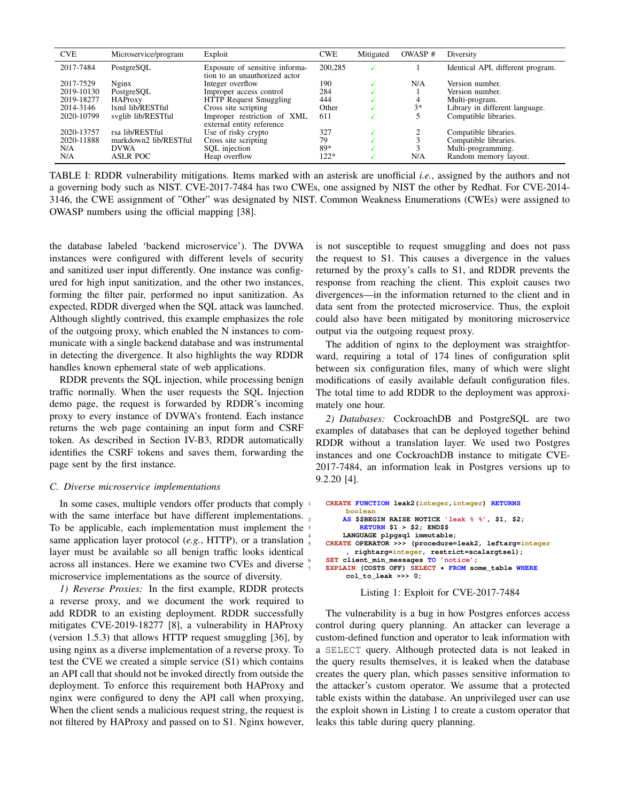| <b>CVE</b> | Microservice/program  | Exploit                                                         | <b>CWE</b> | Mitigated | OWASP <sup>#</sup> | Diversity                         |
|------------|-----------------------|-----------------------------------------------------------------|------------|-----------|--------------------|-----------------------------------|
| 2017-7484  | PostgreSQL            | Exposure of sensitive informa-<br>tion to an unauthorized actor | 200,285    |           |                    | Identical API, different program. |
| 2017-7529  | Nginx                 | Integer overflow                                                | 190        |           | N/A                | Version number.                   |
| 2019-10130 | PostgreSQL            | Improper access control                                         | 284        |           |                    | Version number.                   |
| 2019-18277 | <b>HAProxy</b>        | HTTP Request Smuggling                                          | 444        |           |                    | Multi-program.                    |
| 2014-3146  | 1xml lib/RESTful      | Cross site scripting                                            | Other      |           | $3*$               | Library in different language.    |
| 2020-10799 | svglib lib/RESTful    | Improper restriction of XML<br>external entity reference        | 611        |           |                    | Compatible libraries.             |
| 2020-13757 | rsa lib/RESTful       | Use of risky crypto                                             | 327        |           |                    | Compatible libraries.             |
| 2020-11888 | markdown2 lib/RESTful | Cross site scripting                                            | 79         |           |                    | Compatible libraries.             |
| N/A        | <b>DVWA</b>           | SQL injection                                                   | 89*        |           |                    | Multi-programming.                |
| N/A        | <b>ASLR POC</b>       | Heap overflow                                                   | 122*       |           | N/A                | Random memory layout.             |

TABLE I: RDDR vulnerability mitigations. Items marked with an asterisk are unofficial *i.e.*, assigned by the authors and not a governing body such as NIST. CVE-2017-7484 has two CWEs, one assigned by NIST the other by Redhat. For CVE-2014- 3146, the CWE assignment of "Other" was designated by NIST. Common Weakness Enumerations (CWEs) were assigned to OWASP numbers using the official mapping [38].

the database labeled 'backend microservice'). The DVWA instances were configured with different levels of security and sanitized user input differently. One instance was configured for high input sanitization, and the other two instances, forming the filter pair, performed no input sanitization. As expected, RDDR diverged when the SQL attack was launched. Although slightly contrived, this example emphasizes the role of the outgoing proxy, which enabled the N instances to communicate with a single backend database and was instrumental in detecting the divergence. It also highlights the way RDDR handles known ephemeral state of web applications.

RDDR prevents the SQL injection, while processing benign traffic normally. When the user requests the SQL Injection demo page, the request is forwarded by RDDR's incoming proxy to every instance of DVWA's frontend. Each instance returns the web page containing an input form and CSRF token. As described in Section IV-B3, RDDR automatically identifies the CSRF tokens and saves them, forwarding the page sent by the first instance.

#### *C. Diverse microservice implementations*

In some cases, multiple vendors offer products that comply  $\frac{1}{2}$ with the same interface but have different implementations. To be applicable, each implementation must implement the same application layer protocol (*e.g.*, HTTP), or a translation layer must be available so all benign traffic looks identical across all instances. Here we examine two CVEs and diverse microservice implementations as the source of diversity.

*1) Reverse Proxies:* In the first example, RDDR protects a reverse proxy, and we document the work required to add RDDR to an existing deployment. RDDR successfully mitigates CVE-2019-18277 [8], a vulnerability in HAProxy (version 1.5.3) that allows HTTP request smuggling [36], by using nginx as a diverse implementation of a reverse proxy. To test the CVE we created a simple service (S1) which contains an API call that should not be invoked directly from outside the deployment. To enforce this requirement both HAProxy and nginx were configured to deny the API call when proxying, When the client sends a malicious request string, the request is not filtered by HAProxy and passed on to S1. Nginx however, is not susceptible to request smuggling and does not pass the request to S1. This causes a divergence in the values returned by the proxy's calls to S1, and RDDR prevents the response from reaching the client. This exploit causes two divergences—in the information returned to the client and in data sent from the protected microservice. Thus, the exploit could also have been mitigated by monitoring microservice output via the outgoing request proxy.

The addition of nginx to the deployment was straightforward, requiring a total of 174 lines of configuration split between six configuration files, many of which were slight modifications of easily available default configuration files. The total time to add RDDR to the deployment was approximately one hour.

*2) Databases:* CockroachDB and PostgreSQL are two examples of databases that can be deployed together behind RDDR without a translation layer. We used two Postgres instances and one CockroachDB instance to mitigate CVE-2017-7484, an information leak in Postgres versions up to 9.2.20 [4].

```
1 CREATE FUNCTION leak2(integer,integer) RETURNS
          boolean
         2 AS $$BEGIN RAISE NOTICE 'leak % %', $1, $2;
              3 RETURN $1 > $2; END$$
         4 LANGUAGE plpgsql immutable;
    5 CREATE OPERATOR >>> (procedure=leak2, leftarg=integer
, rightarg=integer, restrict=scalargtsel);
6 SET client_min_messages TO 'notice';
7 EXPLAIN (COSTS OFF) SELECT * FROM some_table WHERE
col_to_leak >>> 0;
```
Listing 1: Exploit for CVE-2017-7484

The vulnerability is a bug in how Postgres enforces access control during query planning. An attacker can leverage a custom-defined function and operator to leak information with a SELECT query. Although protected data is not leaked in the query results themselves, it is leaked when the database creates the query plan, which passes sensitive information to the attacker's custom operator. We assume that a protected table exists within the database. An unprivileged user can use the exploit shown in Listing 1 to create a custom operator that leaks this table during query planning.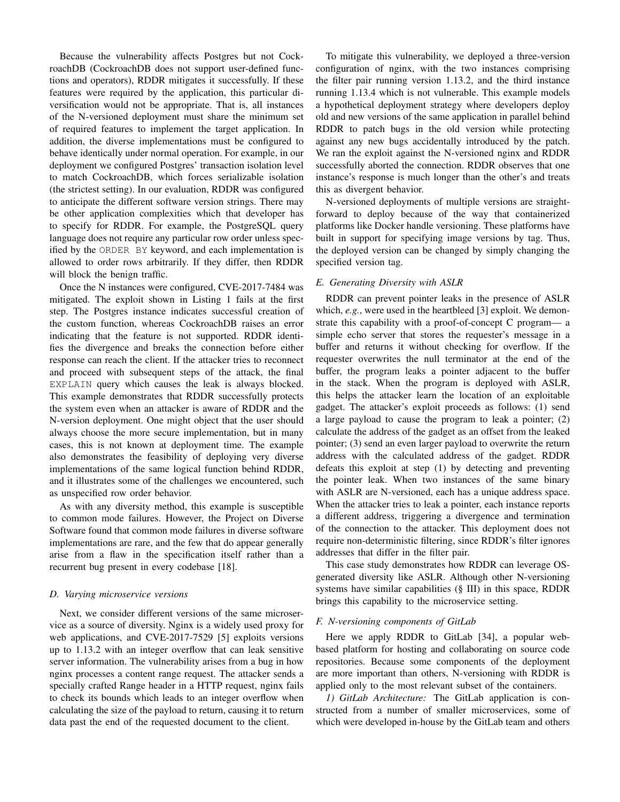Because the vulnerability affects Postgres but not CockroachDB (CockroachDB does not support user-defined functions and operators), RDDR mitigates it successfully. If these features were required by the application, this particular diversification would not be appropriate. That is, all instances of the N-versioned deployment must share the minimum set of required features to implement the target application. In addition, the diverse implementations must be configured to behave identically under normal operation. For example, in our deployment we configured Postgres' transaction isolation level to match CockroachDB, which forces serializable isolation (the strictest setting). In our evaluation, RDDR was configured to anticipate the different software version strings. There may be other application complexities which that developer has to specify for RDDR. For example, the PostgreSQL query language does not require any particular row order unless specified by the ORDER BY keyword, and each implementation is allowed to order rows arbitrarily. If they differ, then RDDR will block the benign traffic.

Once the N instances were configured, CVE-2017-7484 was mitigated. The exploit shown in Listing 1 fails at the first step. The Postgres instance indicates successful creation of the custom function, whereas CockroachDB raises an error indicating that the feature is not supported. RDDR identifies the divergence and breaks the connection before either response can reach the client. If the attacker tries to reconnect and proceed with subsequent steps of the attack, the final EXPLAIN query which causes the leak is always blocked. This example demonstrates that RDDR successfully protects the system even when an attacker is aware of RDDR and the N-version deployment. One might object that the user should always choose the more secure implementation, but in many cases, this is not known at deployment time. The example also demonstrates the feasibility of deploying very diverse implementations of the same logical function behind RDDR, and it illustrates some of the challenges we encountered, such as unspecified row order behavior.

As with any diversity method, this example is susceptible to common mode failures. However, the Project on Diverse Software found that common mode failures in diverse software implementations are rare, and the few that do appear generally arise from a flaw in the specification itself rather than a recurrent bug present in every codebase [18].

# *D. Varying microservice versions*

Next, we consider different versions of the same microservice as a source of diversity. Nginx is a widely used proxy for web applications, and CVE-2017-7529 [5] exploits versions up to 1.13.2 with an integer overflow that can leak sensitive server information. The vulnerability arises from a bug in how nginx processes a content range request. The attacker sends a specially crafted Range header in a HTTP request, nginx fails to check its bounds which leads to an integer overflow when calculating the size of the payload to return, causing it to return data past the end of the requested document to the client.

To mitigate this vulnerability, we deployed a three-version configuration of nginx, with the two instances comprising the filter pair running version 1.13.2, and the third instance running 1.13.4 which is not vulnerable. This example models a hypothetical deployment strategy where developers deploy old and new versions of the same application in parallel behind RDDR to patch bugs in the old version while protecting against any new bugs accidentally introduced by the patch. We ran the exploit against the N-versioned nginx and RDDR successfully aborted the connection. RDDR observes that one instance's response is much longer than the other's and treats this as divergent behavior.

N-versioned deployments of multiple versions are straightforward to deploy because of the way that containerized platforms like Docker handle versioning. These platforms have built in support for specifying image versions by tag. Thus, the deployed version can be changed by simply changing the specified version tag.

## *E. Generating Diversity with ASLR*

RDDR can prevent pointer leaks in the presence of ASLR which, *e.g.*, were used in the heartbleed [3] exploit. We demonstrate this capability with a proof-of-concept C program— a simple echo server that stores the requester's message in a buffer and returns it without checking for overflow. If the requester overwrites the null terminator at the end of the buffer, the program leaks a pointer adjacent to the buffer in the stack. When the program is deployed with ASLR, this helps the attacker learn the location of an exploitable gadget. The attacker's exploit proceeds as follows: (1) send a large payload to cause the program to leak a pointer; (2) calculate the address of the gadget as an offset from the leaked pointer; (3) send an even larger payload to overwrite the return address with the calculated address of the gadget. RDDR defeats this exploit at step (1) by detecting and preventing the pointer leak. When two instances of the same binary with ASLR are N-versioned, each has a unique address space. When the attacker tries to leak a pointer, each instance reports a different address, triggering a divergence and termination of the connection to the attacker. This deployment does not require non-deterministic filtering, since RDDR's filter ignores addresses that differ in the filter pair.

This case study demonstrates how RDDR can leverage OSgenerated diversity like ASLR. Although other N-versioning systems have similar capabilities (§ III) in this space, RDDR brings this capability to the microservice setting.

#### *F. N-versioning components of GitLab*

Here we apply RDDR to GitLab [34], a popular webbased platform for hosting and collaborating on source code repositories. Because some components of the deployment are more important than others, N-versioning with RDDR is applied only to the most relevant subset of the containers.

*1) GitLab Architecture:* The GitLab application is constructed from a number of smaller microservices, some of which were developed in-house by the GitLab team and others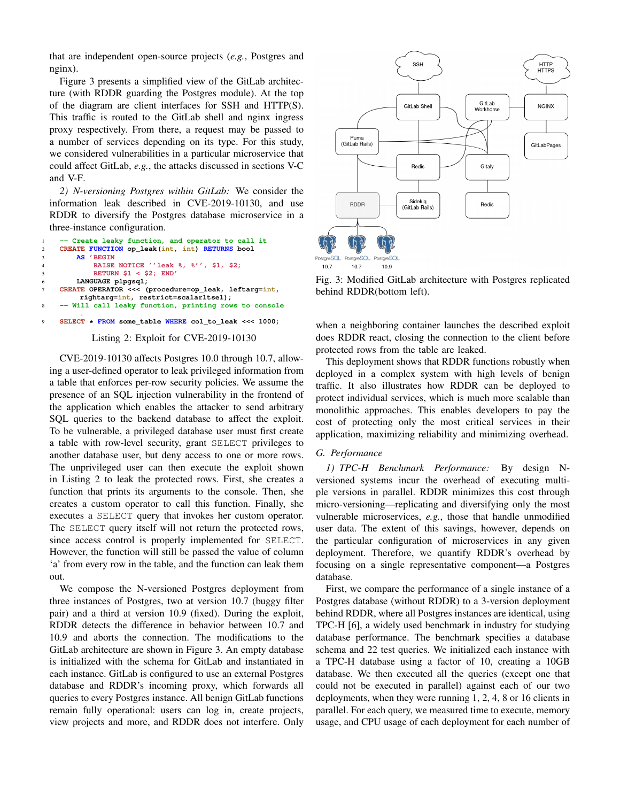that are independent open-source projects (*e.g.*, Postgres and nginx).

Figure 3 presents a simplified view of the GitLab architecture (with RDDR guarding the Postgres module). At the top of the diagram are client interfaces for SSH and HTTP(S). This traffic is routed to the GitLab shell and nginx ingress proxy respectively. From there, a request may be passed to a number of services depending on its type. For this study, we considered vulnerabilities in a particular microservice that could affect GitLab, *e.g.*, the attacks discussed in sections V-C and V-F.

*2) N-versioning Postgres within GitLab:* We consider the information leak described in CVE-2019-10130, and use RDDR to diversify the Postgres database microservice in a three-instance configuration.

```
1 -- Create leaky function, and operator to call it
    2 CREATE FUNCTION op_leak(int, int) RETURNS bool
            3 AS 'BEGIN
             4 RAISE NOTICE ''leak %, %'', $1, $2;
             5 RETURN $1 < $2; END'
        6 LANGUAGE plpgsql;
    7 CREATE OPERATOR <<< (procedure=op_leak, leftarg=int,
         rightarg=int, restrict=scalarltsel);
       8 -- Will call leaky function, printing rows to console
          .
9 SELECT * FROM some_table WHERE col_to_leak <<< 1000;
```
#### Listing 2: Exploit for CVE-2019-10130

CVE-2019-10130 affects Postgres 10.0 through 10.7, allowing a user-defined operator to leak privileged information from a table that enforces per-row security policies. We assume the presence of an SQL injection vulnerability in the frontend of the application which enables the attacker to send arbitrary SQL queries to the backend database to affect the exploit. To be vulnerable, a privileged database user must first create a table with row-level security, grant SELECT privileges to another database user, but deny access to one or more rows. The unprivileged user can then execute the exploit shown in Listing 2 to leak the protected rows. First, she creates a function that prints its arguments to the console. Then, she creates a custom operator to call this function. Finally, she executes a SELECT query that invokes her custom operator. The SELECT query itself will not return the protected rows, since access control is properly implemented for SELECT. However, the function will still be passed the value of column 'a' from every row in the table, and the function can leak them out.

We compose the N-versioned Postgres deployment from three instances of Postgres, two at version 10.7 (buggy filter pair) and a third at version 10.9 (fixed). During the exploit, RDDR detects the difference in behavior between 10.7 and 10.9 and aborts the connection. The modifications to the GitLab architecture are shown in Figure 3. An empty database is initialized with the schema for GitLab and instantiated in each instance. GitLab is configured to use an external Postgres database and RDDR's incoming proxy, which forwards all queries to every Postgres instance. All benign GitLab functions remain fully operational: users can log in, create projects, view projects and more, and RDDR does not interfere. Only



Fig. 3: Modified GitLab architecture with Postgres replicated behind RDDR(bottom left).

when a neighboring container launches the described exploit does RDDR react, closing the connection to the client before protected rows from the table are leaked.

This deployment shows that RDDR functions robustly when deployed in a complex system with high levels of benign traffic. It also illustrates how RDDR can be deployed to protect individual services, which is much more scalable than monolithic approaches. This enables developers to pay the cost of protecting only the most critical services in their application, maximizing reliability and minimizing overhead.

#### *G. Performance*

*1) TPC-H Benchmark Performance:* By design Nversioned systems incur the overhead of executing multiple versions in parallel. RDDR minimizes this cost through micro-versioning—replicating and diversifying only the most vulnerable microservices, *e.g.*, those that handle unmodified user data. The extent of this savings, however, depends on the particular configuration of microservices in any given deployment. Therefore, we quantify RDDR's overhead by focusing on a single representative component—a Postgres database.

First, we compare the performance of a single instance of a Postgres database (without RDDR) to a 3-version deployment behind RDDR, where all Postgres instances are identical, using TPC-H [6], a widely used benchmark in industry for studying database performance. The benchmark specifies a database schema and 22 test queries. We initialized each instance with a TPC-H database using a factor of 10, creating a 10GB database. We then executed all the queries (except one that could not be executed in parallel) against each of our two deployments, when they were running 1, 2, 4, 8 or 16 clients in parallel. For each query, we measured time to execute, memory usage, and CPU usage of each deployment for each number of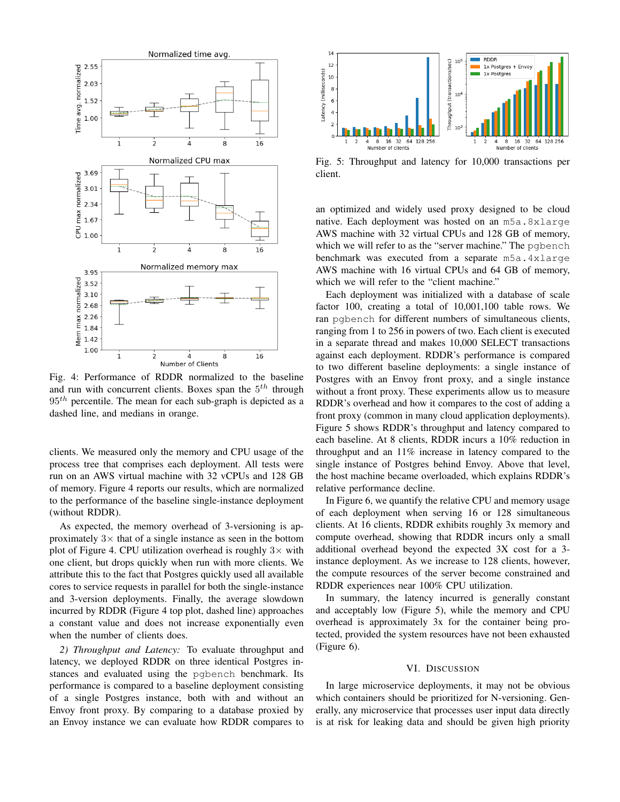

Fig. 4: Performance of RDDR normalized to the baseline and run with concurrent clients. Boxes span the  $5<sup>th</sup>$  through  $95<sup>th</sup>$  percentile. The mean for each sub-graph is depicted as a dashed line, and medians in orange.

clients. We measured only the memory and CPU usage of the process tree that comprises each deployment. All tests were run on an AWS virtual machine with 32 vCPUs and 128 GB of memory. Figure 4 reports our results, which are normalized to the performance of the baseline single-instance deployment (without RDDR).

As expected, the memory overhead of 3-versioning is approximately  $3\times$  that of a single instance as seen in the bottom plot of Figure 4. CPU utilization overhead is roughly  $3\times$  with one client, but drops quickly when run with more clients. We attribute this to the fact that Postgres quickly used all available cores to service requests in parallel for both the single-instance and 3-version deployments. Finally, the average slowdown incurred by RDDR (Figure 4 top plot, dashed line) approaches a constant value and does not increase exponentially even when the number of clients does.

*2) Throughput and Latency:* To evaluate throughput and latency, we deployed RDDR on three identical Postgres instances and evaluated using the pgbench benchmark. Its performance is compared to a baseline deployment consisting of a single Postgres instance, both with and without an Envoy front proxy. By comparing to a database proxied by an Envoy instance we can evaluate how RDDR compares to



Fig. 5: Throughput and latency for 10,000 transactions per client.

an optimized and widely used proxy designed to be cloud native. Each deployment was hosted on an m5a.8xlarge AWS machine with 32 virtual CPUs and 128 GB of memory, which we will refer to as the "server machine." The pqbench benchmark was executed from a separate m5a.4xlarge AWS machine with 16 virtual CPUs and 64 GB of memory, which we will refer to the "client machine."

Each deployment was initialized with a database of scale factor 100, creating a total of 10,001,100 table rows. We ran pgbench for different numbers of simultaneous clients, ranging from 1 to 256 in powers of two. Each client is executed in a separate thread and makes 10,000 SELECT transactions against each deployment. RDDR's performance is compared to two different baseline deployments: a single instance of Postgres with an Envoy front proxy, and a single instance without a front proxy. These experiments allow us to measure RDDR's overhead and how it compares to the cost of adding a front proxy (common in many cloud application deployments). Figure 5 shows RDDR's throughput and latency compared to each baseline. At 8 clients, RDDR incurs a 10% reduction in throughput and an 11% increase in latency compared to the single instance of Postgres behind Envoy. Above that level, the host machine became overloaded, which explains RDDR's relative performance decline.

In Figure 6, we quantify the relative CPU and memory usage of each deployment when serving 16 or 128 simultaneous clients. At 16 clients, RDDR exhibits roughly 3x memory and compute overhead, showing that RDDR incurs only a small additional overhead beyond the expected 3X cost for a 3 instance deployment. As we increase to 128 clients, however, the compute resources of the server become constrained and RDDR experiences near 100% CPU utilization.

In summary, the latency incurred is generally constant and acceptably low (Figure 5), while the memory and CPU overhead is approximately 3x for the container being protected, provided the system resources have not been exhausted (Figure 6).

### VI. DISCUSSION

In large microservice deployments, it may not be obvious which containers should be prioritized for N-versioning. Generally, any microservice that processes user input data directly is at risk for leaking data and should be given high priority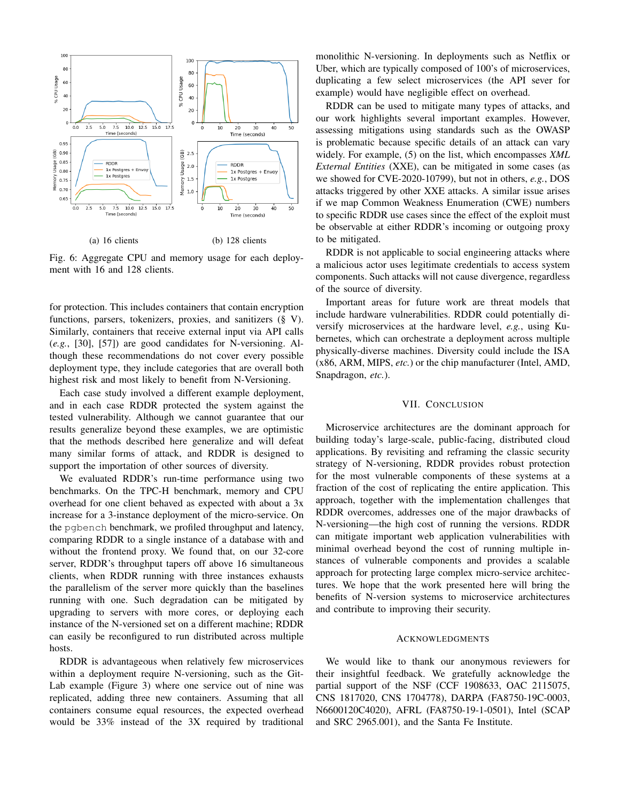

Fig. 6: Aggregate CPU and memory usage for each deployment with 16 and 128 clients.

for protection. This includes containers that contain encryption functions, parsers, tokenizers, proxies, and sanitizers (§ V). Similarly, containers that receive external input via API calls (*e.g.*, [30], [57]) are good candidates for N-versioning. Although these recommendations do not cover every possible deployment type, they include categories that are overall both highest risk and most likely to benefit from N-Versioning.

Each case study involved a different example deployment, and in each case RDDR protected the system against the tested vulnerability. Although we cannot guarantee that our results generalize beyond these examples, we are optimistic that the methods described here generalize and will defeat many similar forms of attack, and RDDR is designed to support the importation of other sources of diversity.

We evaluated RDDR's run-time performance using two benchmarks. On the TPC-H benchmark, memory and CPU overhead for one client behaved as expected with about a 3x increase for a 3-instance deployment of the micro-service. On the pgbench benchmark, we profiled throughput and latency, comparing RDDR to a single instance of a database with and without the frontend proxy. We found that, on our 32-core server, RDDR's throughput tapers off above 16 simultaneous clients, when RDDR running with three instances exhausts the parallelism of the server more quickly than the baselines running with one. Such degradation can be mitigated by upgrading to servers with more cores, or deploying each instance of the N-versioned set on a different machine; RDDR can easily be reconfigured to run distributed across multiple hosts.

RDDR is advantageous when relatively few microservices within a deployment require N-versioning, such as the Git-Lab example (Figure 3) where one service out of nine was replicated, adding three new containers. Assuming that all containers consume equal resources, the expected overhead would be 33% instead of the 3X required by traditional monolithic N-versioning. In deployments such as Netflix or Uber, which are typically composed of 100's of microservices, duplicating a few select microservices (the API sever for example) would have negligible effect on overhead.

RDDR can be used to mitigate many types of attacks, and our work highlights several important examples. However, assessing mitigations using standards such as the OWASP is problematic because specific details of an attack can vary widely. For example, (5) on the list, which encompasses *XML External Entities* (XXE), can be mitigated in some cases (as we showed for CVE-2020-10799), but not in others, *e.g.*, DOS attacks triggered by other XXE attacks. A similar issue arises if we map Common Weakness Enumeration (CWE) numbers to specific RDDR use cases since the effect of the exploit must be observable at either RDDR's incoming or outgoing proxy to be mitigated.

RDDR is not applicable to social engineering attacks where a malicious actor uses legitimate credentials to access system components. Such attacks will not cause divergence, regardless of the source of diversity.

Important areas for future work are threat models that include hardware vulnerabilities. RDDR could potentially diversify microservices at the hardware level, *e.g.*, using Kubernetes, which can orchestrate a deployment across multiple physically-diverse machines. Diversity could include the ISA (x86, ARM, MIPS, *etc.*) or the chip manufacturer (Intel, AMD, Snapdragon, *etc.*).

# VII. CONCLUSION

Microservice architectures are the dominant approach for building today's large-scale, public-facing, distributed cloud applications. By revisiting and reframing the classic security strategy of N-versioning, RDDR provides robust protection for the most vulnerable components of these systems at a fraction of the cost of replicating the entire application. This approach, together with the implementation challenges that RDDR overcomes, addresses one of the major drawbacks of N-versioning—the high cost of running the versions. RDDR can mitigate important web application vulnerabilities with minimal overhead beyond the cost of running multiple instances of vulnerable components and provides a scalable approach for protecting large complex micro-service architectures. We hope that the work presented here will bring the benefits of N-version systems to microservice architectures and contribute to improving their security.

#### ACKNOWLEDGMENTS

We would like to thank our anonymous reviewers for their insightful feedback. We gratefully acknowledge the partial support of the NSF (CCF 1908633, OAC 2115075, CNS 1817020, CNS 1704778), DARPA (FA8750-19C-0003, N6600120C4020), AFRL (FA8750-19-1-0501), Intel (SCAP and SRC 2965.001), and the Santa Fe Institute.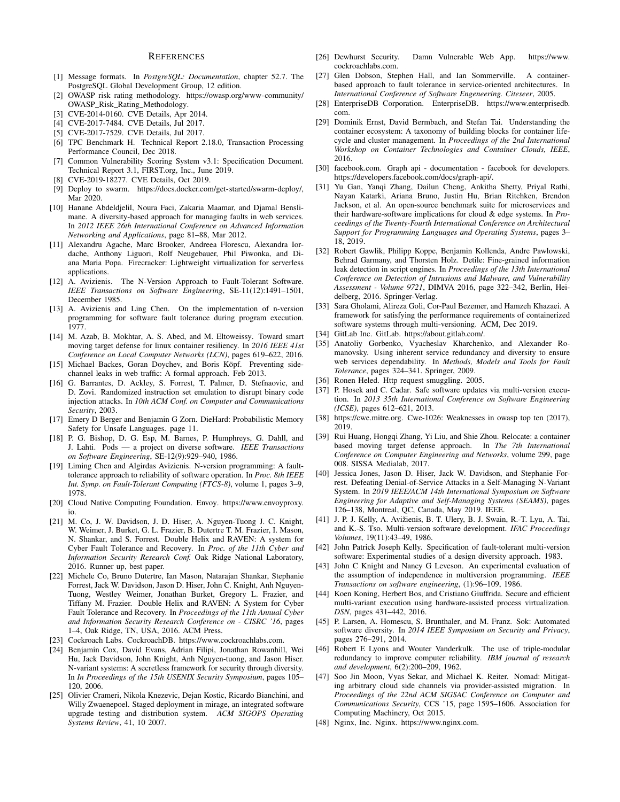#### **REFERENCES**

- [1] Message formats. In *PostgreSQL: Documentation*, chapter 52.7. The PostgreSQL Global Development Group, 12 edition.
- [2] OWASP risk rating methodology. https://owasp.org/www-community/ OWASP Risk Rating Methodology.
- [3] CVE-2014-0160. CVE Details, Apr 2014.
- [4] CVE-2017-7484. CVE Details, Jul 2017.
- [5] CVE-2017-7529. CVE Details, Jul 2017.
- [6] TPC Benchmark H. Technical Report 2.18.0, Transaction Processing Performance Council, Dec 2018.
- [7] Common Vulnerability Scoring System v3.1: Specification Document. Technical Report 3.1, FIRST.org, Inc., June 2019.
- [8] CVE-2019-18277. CVE Details, Oct 2019.
- [9] Deploy to swarm. https://docs.docker.com/get-started/swarm-deploy/, Mar 2020.
- [10] Hanane Abdeldjelil, Noura Faci, Zakaria Maamar, and Djamal Benslimane. A diversity-based approach for managing faults in web services. In *2012 IEEE 26th International Conference on Advanced Information Networking and Applications*, page 81–88, Mar 2012.
- [11] Alexandru Agache, Marc Brooker, Andreea Florescu, Alexandra Iordache, Anthony Liguori, Rolf Neugebauer, Phil Piwonka, and Diana Maria Popa. Firecracker: Lightweight virtualization for serverless applications.
- [12] A. Avizienis. The N-Version Approach to Fault-Tolerant Software. *IEEE Transactions on Software Engineering*, SE-11(12):1491–1501, December 1985.
- [13] A. Avizienis and Ling Chen. On the implementation of n-version programming for software fault tolerance during program execution. 1977.
- [14] M. Azab, B. Mokhtar, A. S. Abed, and M. Eltoweissy. Toward smart moving target defense for linux container resiliency. In *2016 IEEE 41st Conference on Local Computer Networks (LCN)*, pages 619–622, 2016.
- [15] Michael Backes, Goran Doychev, and Boris Köpf. Preventing sidechannel leaks in web traffic: A formal approach. Feb 2013.
- [16] G. Barrantes, D. Ackley, S. Forrest, T. Palmer, D. Stefnaovic, and D. Zovi. Randomized instruction set emulation to disrupt binary code injection attacks. In *10th ACM Conf. on Computer and Communications Security*, 2003.
- [17] Emery D Berger and Benjamin G Zorn. DieHard: Probabilistic Memory Safety for Unsafe Languages. page 11.
- [18] P. G. Bishop, D. G. Esp, M. Barnes, P. Humphreys, G. Dahll, and J. Lahti. Pods — a project on diverse software. *IEEE Transactions on Software Engineering*, SE-12(9):929–940, 1986.
- [19] Liming Chen and Algirdas Avizienis. N-version programming: A faulttolerance approach to reliability of software operation. In *Proc. 8th IEEE Int. Symp. on Fault-Tolerant Computing (FTCS-8)*, volume 1, pages 3–9, 1978.
- [20] Cloud Native Computing Foundation. Envoy. https://www.envoyproxy. io.
- [21] M. Co, J. W. Davidson, J. D. Hiser, A. Nguyen-Tuong J. C. Knight, W. Weimer, J. Burket, G. L. Frazier, B. Dutertre T. M. Frazier, I. Mason, N. Shankar, and S. Forrest. Double Helix and RAVEN: A system for Cyber Fault Tolerance and Recovery. In *Proc. of the 11th Cyber and Information Security Research Conf.* Oak Ridge National Laboratory, 2016. Runner up, best paper.
- [22] Michele Co, Bruno Dutertre, Ian Mason, Natarajan Shankar, Stephanie Forrest, Jack W. Davidson, Jason D. Hiser, John C. Knight, Anh Nguyen-Tuong, Westley Weimer, Jonathan Burket, Gregory L. Frazier, and Tiffany M. Frazier. Double Helix and RAVEN: A System for Cyber Fault Tolerance and Recovery. In *Proceedings of the 11th Annual Cyber and Information Security Research Conference on - CISRC '16*, pages 1–4, Oak Ridge, TN, USA, 2016. ACM Press.
- [23] Cockroach Labs. CockroachDB. https://www.cockroachlabs.com.
- [24] Benjamin Cox, David Evans, Adrian Filipi, Jonathan Rowanhill, Wei Hu, Jack Davidson, John Knight, Anh Nguyen-tuong, and Jason Hiser. N-variant systems: A secretless framework for security through diversity. In *In Proceedings of the 15th USENIX Security Symposium*, pages 105– 120, 2006.
- [25] Olivier Crameri, Nikola Knezevic, Dejan Kostic, Ricardo Bianchini, and Willy Zwaenepoel. Staged deployment in mirage, an integrated software upgrade testing and distribution system. *ACM SIGOPS Operating Systems Review*, 41, 10 2007.
- [26] Dewhurst Security. Damn Vulnerable Web App. https://www. cockroachlabs.com.
- [27] Glen Dobson, Stephen Hall, and Ian Sommerville. A containerbased approach to fault tolerance in service-oriented architectures. In *International Conference of Software Engeneering. Citeseer*, 2005.
- [28] EnterpriseDB Corporation. EnterpriseDB. https://www.enterprisedb. com.
- [29] Dominik Ernst, David Bermbach, and Stefan Tai. Understanding the container ecosystem: A taxonomy of building blocks for container lifecycle and cluster management. In *Proceedings of the 2nd International Workshop on Container Technologies and Container Clouds, IEEE*, 2016.
- [30] facebook.com. Graph api documentation facebook for developers. https://developers.facebook.com/docs/graph-api/.
- [31] Yu Gan, Yanqi Zhang, Dailun Cheng, Ankitha Shetty, Priyal Rathi, Nayan Katarki, Ariana Bruno, Justin Hu, Brian Ritchken, Brendon Jackson, et al. An open-source benchmark suite for microservices and their hardware-software implications for cloud & edge systems. In *Proceedings of the Twenty-Fourth International Conference on Architectural Support for Programming Languages and Operating Systems*, pages 3– 18, 2019.
- [32] Robert Gawlik, Philipp Koppe, Benjamin Kollenda, Andre Pawlowski, Behrad Garmany, and Thorsten Holz. Detile: Fine-grained information leak detection in script engines. In *Proceedings of the 13th International Conference on Detection of Intrusions and Malware, and Vulnerability Assessment - Volume 9721*, DIMVA 2016, page 322–342, Berlin, Heidelberg, 2016. Springer-Verlag.
- [33] Sara Gholami, Alireza Goli, Cor-Paul Bezemer, and Hamzeh Khazaei. A framework for satisfying the performance requirements of containerized software systems through multi-versioning. ACM, Dec 2019.
- [34] GitLab Inc. GitLab. https://about.gitlab.com/.
- [35] Anatoliy Gorbenko, Vyacheslav Kharchenko, and Alexander Romanovsky. Using inherent service redundancy and diversity to ensure web services dependability. In *Methods, Models and Tools for Fault Tolerance*, pages 324–341. Springer, 2009.
- [36] Ronen Heled. Http request smuggling. 2005.
- [37] P. Hosek and C. Cadar. Safe software updates via multi-version execution. In *2013 35th International Conference on Software Engineering (ICSE)*, pages 612–621, 2013.
- [38] https://cwe.mitre.org. Cwe-1026: Weaknesses in owasp top ten (2017), 2019.
- [39] Rui Huang, Hongqi Zhang, Yi Liu, and Shie Zhou. Relocate: a container based moving target defense approach. In *The 7th International Conference on Computer Engineering and Networks*, volume 299, page 008. SISSA Medialab, 2017.
- [40] Jessica Jones, Jason D. Hiser, Jack W. Davidson, and Stephanie Forrest. Defeating Denial-of-Service Attacks in a Self-Managing N-Variant System. In *2019 IEEE/ACM 14th International Symposium on Software Engineering for Adaptive and Self-Managing Systems (SEAMS)*, pages 126–138, Montreal, QC, Canada, May 2019. IEEE.
- [41] J. P. J. Kelly, A. Avižienis, B. T. Ulery, B. J. Swain, R.-T. Lyu, A. Tai, and K.-S. Tso. Multi-version software development. *IFAC Proceedings Volumes*, 19(11):43–49, 1986.
- [42] John Patrick Joseph Kelly. Specification of fault-tolerant multi-version software: Experimental studies of a design diversity approach. 1983.
- [43] John C Knight and Nancy G Leveson. An experimental evaluation of the assumption of independence in multiversion programming. *IEEE Transactions on software engineering*, (1):96–109, 1986.
- [44] Koen Koning, Herbert Bos, and Cristiano Giuffrida. Secure and efficient multi-variant execution using hardware-assisted process virtualization. *DSN*, pages 431–442, 2016.
- [45] P. Larsen, A. Homescu, S. Brunthaler, and M. Franz. Sok: Automated software diversity. In *2014 IEEE Symposium on Security and Privacy*, pages 276–291, 2014.
- [46] Robert E Lyons and Wouter Vanderkulk. The use of triple-modular redundancy to improve computer reliability. *IBM journal of research and development*, 6(2):200–209, 1962.
- [47] Soo Jin Moon, Vyas Sekar, and Michael K. Reiter. Nomad: Mitigating arbitrary cloud side channels via provider-assisted migration. In *Proceedings of the 22nd ACM SIGSAC Conference on Computer and Communications Security*, CCS '15, page 1595–1606. Association for Computing Machinery, Oct 2015.
- [48] Nginx, Inc. Nginx. https://www.nginx.com.